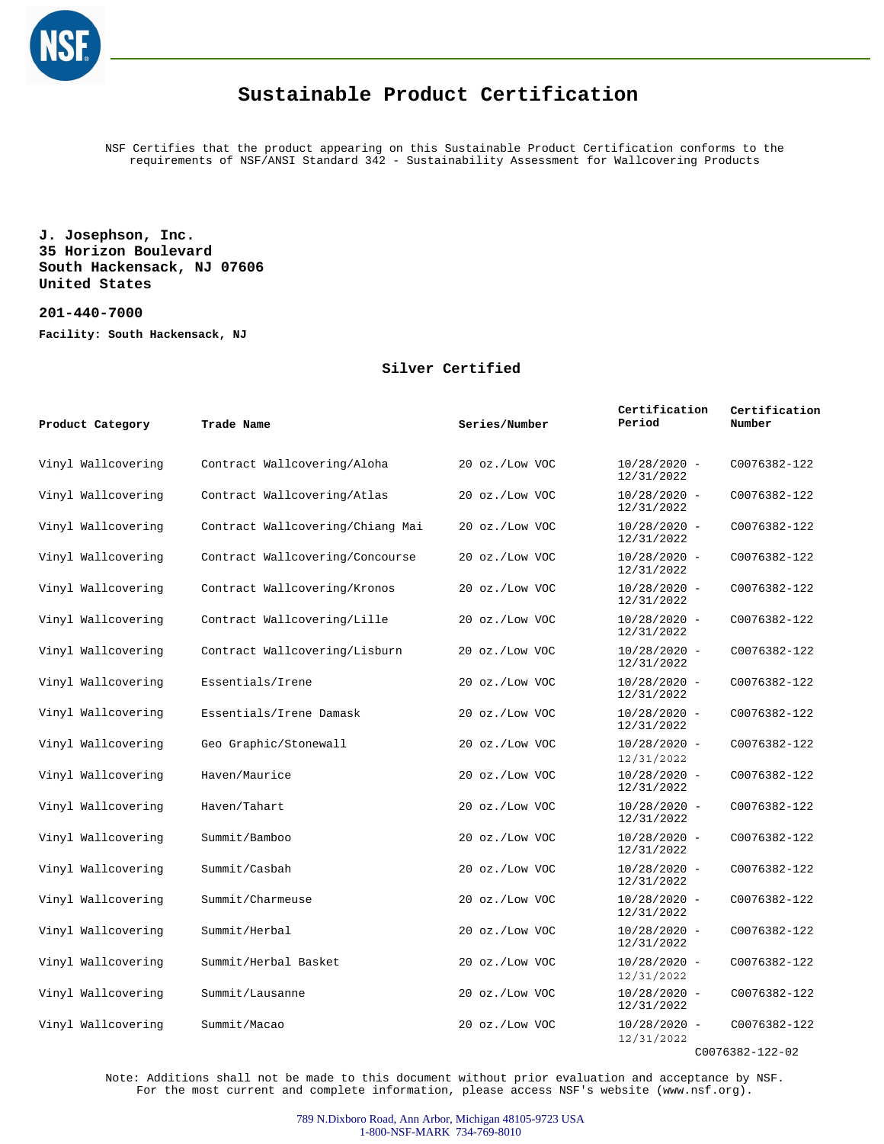

NSF Certifies that the product appearing on this Sustainable Product Certification conforms to the requirements of NSF/ANSI Standard 342 - Sustainability Assessment for Wallcovering Products

**J. Josephson, Inc. 35 Horizon Boulevard South Hackensack, NJ 07606 United States**

**201-440-7000 Facility: South Hackensack, NJ**

#### **Silver Certified**

| Product Category   | Trade Name                       | Series/Number  | Certification<br>Period      | Certification<br>Number |
|--------------------|----------------------------------|----------------|------------------------------|-------------------------|
| Vinyl Wallcovering | Contract Wallcovering/Aloha      | 20 oz./Low VOC | $10/28/2020 -$<br>12/31/2022 | C0076382-122            |
| Vinyl Wallcovering | Contract Wallcovering/Atlas      | 20 oz./Low VOC | $10/28/2020 -$<br>12/31/2022 | C0076382-122            |
| Vinyl Wallcovering | Contract Wallcovering/Chiang Mai | 20 oz./Low VOC | $10/28/2020 -$<br>12/31/2022 | C0076382-122            |
| Vinyl Wallcovering | Contract Wallcovering/Concourse  | 20 oz./Low VOC | $10/28/2020 -$<br>12/31/2022 | C0076382-122            |
| Vinyl Wallcovering | Contract Wallcovering/Kronos     | 20 oz./Low VOC | $10/28/2020 -$<br>12/31/2022 | C0076382-122            |
| Vinyl Wallcovering | Contract Wallcovering/Lille      | 20 oz./Low VOC | $10/28/2020 -$<br>12/31/2022 | C0076382-122            |
| Vinyl Wallcovering | Contract Wallcovering/Lisburn    | 20 oz./Low VOC | $10/28/2020 -$<br>12/31/2022 | C0076382-122            |
| Vinyl Wallcovering | Essentials/Irene                 | 20 oz./Low VOC | $10/28/2020 -$<br>12/31/2022 | C0076382-122            |
| Vinyl Wallcovering | Essentials/Irene Damask          | 20 oz./Low VOC | $10/28/2020 -$<br>12/31/2022 | C0076382-122            |
| Vinyl Wallcovering | Geo Graphic/Stonewall            | 20 oz./Low VOC | $10/28/2020 -$<br>12/31/2022 | C0076382-122            |
| Vinyl Wallcovering | Haven/Maurice                    | 20 oz./Low VOC | $10/28/2020 -$<br>12/31/2022 | C0076382-122            |
| Vinyl Wallcovering | Haven/Tahart                     | 20 oz./Low VOC | $10/28/2020 -$<br>12/31/2022 | C0076382-122            |
| Vinyl Wallcovering | Summit/Bamboo                    | 20 oz./Low VOC | $10/28/2020 -$<br>12/31/2022 | C0076382-122            |
| Vinyl Wallcovering | Summit/Casbah                    | 20 oz./Low VOC | $10/28/2020 -$<br>12/31/2022 | C0076382-122            |
| Vinyl Wallcovering | Summit/Charmeuse                 | 20 oz./Low VOC | $10/28/2020 -$<br>12/31/2022 | C0076382-122            |
| Vinyl Wallcovering | Summit/Herbal                    | 20 oz./Low VOC | $10/28/2020 -$<br>12/31/2022 | C0076382-122            |
| Vinyl Wallcovering | Summit/Herbal Basket             | 20 oz./Low VOC | $10/28/2020 -$<br>12/31/2022 | C0076382-122            |
| Vinyl Wallcovering | Summit/Lausanne                  | 20 oz./Low VOC | $10/28/2020 -$<br>12/31/2022 | C0076382-122            |
| Vinyl Wallcovering | Summit/Macao                     | 20 oz./Low VOC | $10/28/2020 -$<br>12/31/2022 | C0076382-122            |

C0076382-122-02

Note: Additions shall not be made to this document without prior evaluation and acceptance by NSF. For the most current and complete information, please access NSF's website (www.nsf.org).

> 789 N.Dixboro Road, Ann Arbor, Michigan 48105-9723 USA 1-800-NSF-MARK 734-769-8010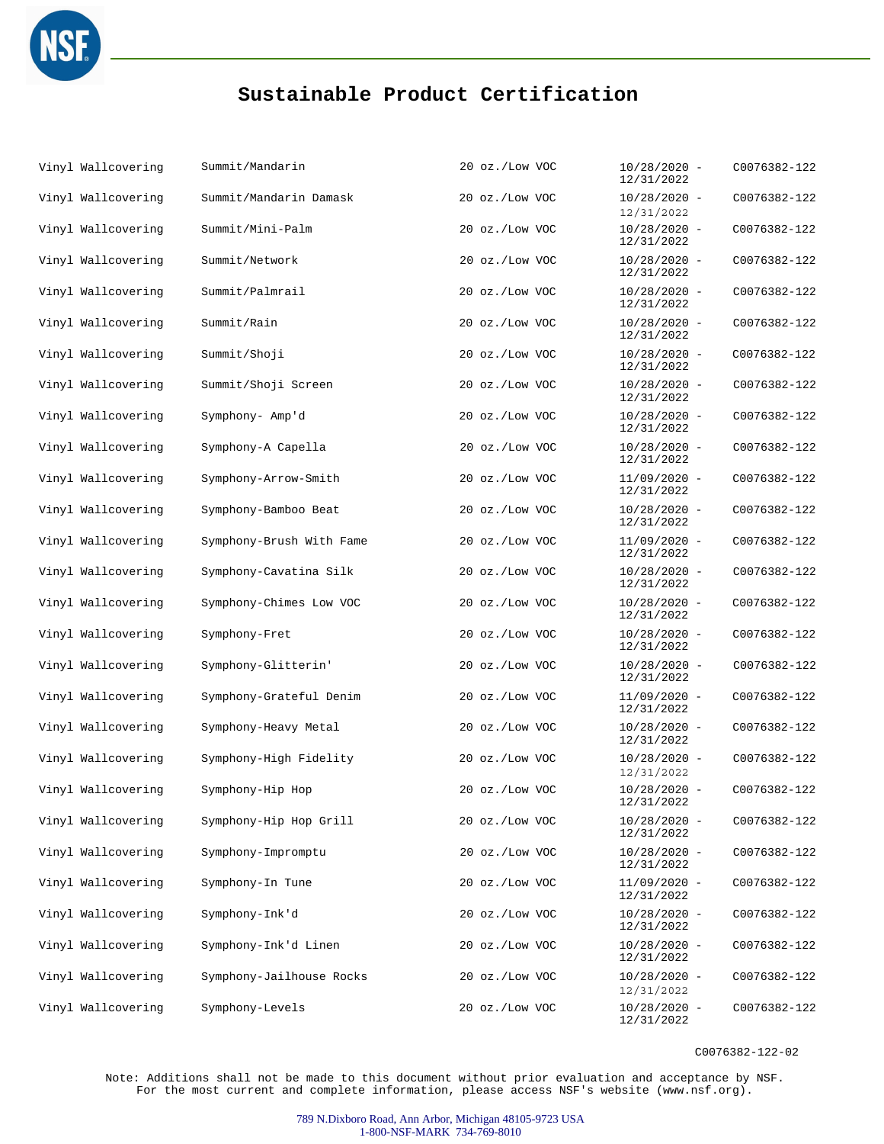

| Vinyl Wallcovering | Summit/Mandarin          | 20 oz./Low VOC | $10/28/2020 -$<br>12/31/2022 | C0076382-122 |
|--------------------|--------------------------|----------------|------------------------------|--------------|
| Vinyl Wallcovering | Summit/Mandarin Damask   | 20 oz./Low VOC | $10/28/2020 -$<br>12/31/2022 | C0076382-122 |
| Vinyl Wallcovering | Summit/Mini-Palm         | 20 oz./Low VOC | $10/28/2020 -$<br>12/31/2022 | C0076382-122 |
| Vinyl Wallcovering | Summit/Network           | 20 oz./Low VOC | $10/28/2020 -$<br>12/31/2022 | C0076382-122 |
| Vinyl Wallcovering | Summit/Palmrail          | 20 oz./Low VOC | $10/28/2020 -$<br>12/31/2022 | C0076382-122 |
| Vinyl Wallcovering | Summit/Rain              | 20 oz./Low VOC | $10/28/2020 -$<br>12/31/2022 | C0076382-122 |
| Vinyl Wallcovering | Summit/Shoji             | 20 oz./Low VOC | $10/28/2020 -$<br>12/31/2022 | C0076382-122 |
| Vinyl Wallcovering | Summit/Shoji Screen      | 20 oz./Low VOC | $10/28/2020 -$<br>12/31/2022 | C0076382-122 |
| Vinyl Wallcovering | Symphony- Amp'd          | 20 oz./Low VOC | $10/28/2020 -$<br>12/31/2022 | C0076382-122 |
| Vinyl Wallcovering | Symphony-A Capella       | 20 oz./Low VOC | $10/28/2020 -$<br>12/31/2022 | C0076382-122 |
| Vinyl Wallcovering | Symphony-Arrow-Smith     | 20 oz./Low VOC | $11/09/2020 -$<br>12/31/2022 | C0076382-122 |
| Vinyl Wallcovering | Symphony-Bamboo Beat     | 20 oz./Low VOC | $10/28/2020 -$<br>12/31/2022 | C0076382-122 |
| Vinyl Wallcovering | Symphony-Brush With Fame | 20 oz./Low VOC | $11/09/2020 -$<br>12/31/2022 | C0076382-122 |
| Vinyl Wallcovering | Symphony-Cavatina Silk   | 20 oz./Low VOC | $10/28/2020 -$<br>12/31/2022 | C0076382-122 |
| Vinyl Wallcovering | Symphony-Chimes Low VOC  | 20 oz./Low VOC | $10/28/2020 -$<br>12/31/2022 | C0076382-122 |
| Vinyl Wallcovering | Symphony-Fret            | 20 oz./Low VOC | $10/28/2020 -$<br>12/31/2022 | C0076382-122 |
| Vinyl Wallcovering | Symphony-Glitterin'      | 20 oz./Low VOC | $10/28/2020 -$<br>12/31/2022 | C0076382-122 |
| Vinyl Wallcovering | Symphony-Grateful Denim  | 20 oz./Low VOC | $11/09/2020 -$<br>12/31/2022 | C0076382-122 |
| Vinyl Wallcovering | Symphony-Heavy Metal     | 20 oz./Low VOC | $10/28/2020 -$<br>12/31/2022 | C0076382-122 |
| Vinyl Wallcovering | Symphony-High Fidelity   | 20 oz./Low VOC | $10/28/2020 -$<br>12/31/2022 | C0076382-122 |
| Vinyl Wallcovering | Symphony-Hip Hop         | 20 oz./Low VOC | $10/28/2020 -$<br>12/31/2022 | C0076382-122 |
| Vinyl Wallcovering | Symphony-Hip Hop Grill   | 20 oz./Low VOC | $10/28/2020 -$<br>12/31/2022 | C0076382-122 |
| Vinyl Wallcovering | Symphony-Impromptu       | 20 oz./Low VOC | $10/28/2020 -$<br>12/31/2022 | C0076382-122 |
| Vinyl Wallcovering | Symphony-In Tune         | 20 oz./Low VOC | $11/09/2020 -$<br>12/31/2022 | C0076382-122 |
| Vinyl Wallcovering | Symphony-Ink'd           | 20 oz./Low VOC | $10/28/2020 -$<br>12/31/2022 | C0076382-122 |
| Vinyl Wallcovering | Symphony-Ink'd Linen     | 20 oz./Low VOC | $10/28/2020 -$<br>12/31/2022 | C0076382-122 |
| Vinyl Wallcovering | Symphony-Jailhouse Rocks | 20 oz./Low VOC | $10/28/2020 -$<br>12/31/2022 | C0076382-122 |
| Vinyl Wallcovering | Symphony-Levels          | 20 oz./Low VOC | $10/28/2020 -$<br>12/31/2022 | C0076382-122 |

C0076382-122-02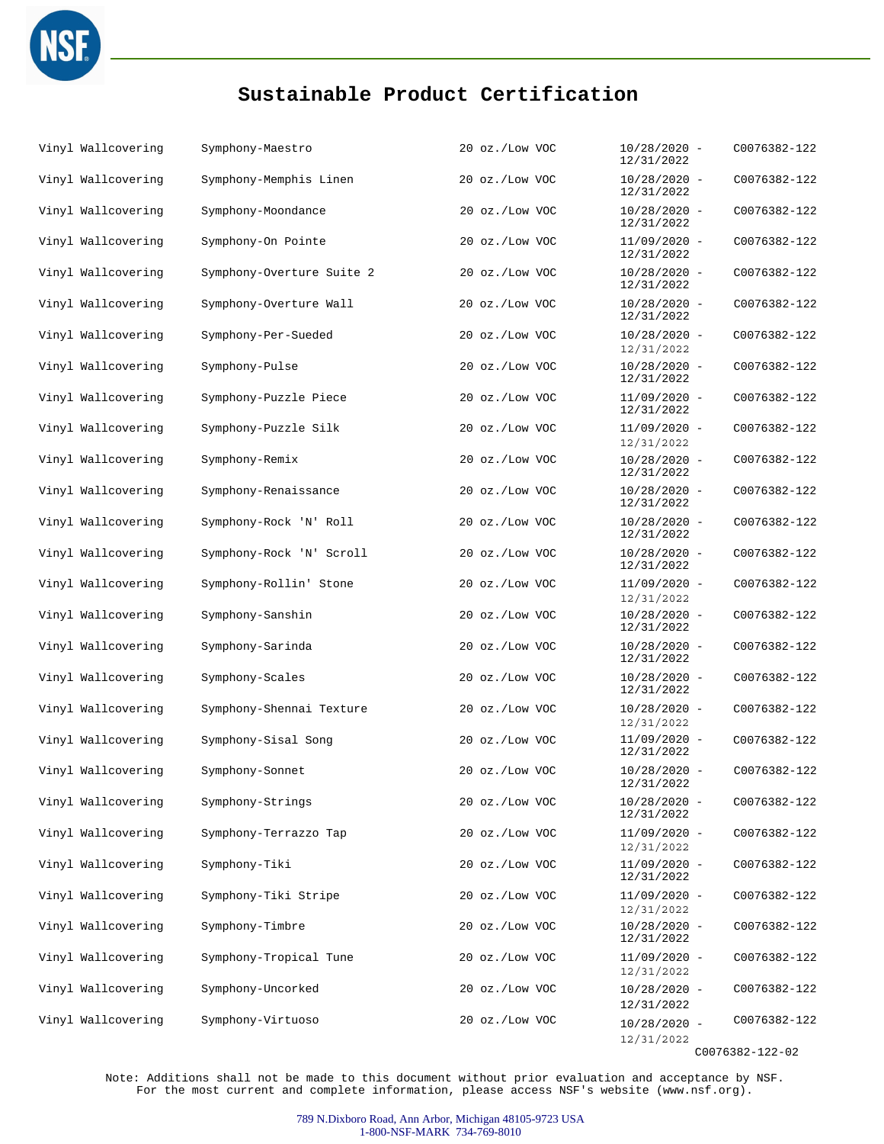

| Vinyl Wallcovering | Symphony-Maestro          | 20 oz./Low VOC | $10/28/2020 -$<br>12/31/2022 | C0076382-122    |
|--------------------|---------------------------|----------------|------------------------------|-----------------|
| Vinyl Wallcovering | Symphony-Memphis Linen    | 20 oz./Low VOC | $10/28/2020 -$<br>12/31/2022 | C0076382-122    |
| Vinyl Wallcovering | Symphony-Moondance        | 20 oz./Low VOC | $10/28/2020 -$<br>12/31/2022 | C0076382-122    |
| Vinyl Wallcovering | Symphony-On Pointe        | 20 oz./Low VOC | $11/09/2020 -$<br>12/31/2022 | C0076382-122    |
| Vinyl Wallcovering | Symphony-Overture Suite 2 | 20 oz./Low VOC | $10/28/2020 -$<br>12/31/2022 | C0076382-122    |
| Vinyl Wallcovering | Symphony-Overture Wall    | 20 oz./Low VOC | $10/28/2020 -$<br>12/31/2022 | C0076382-122    |
| Vinyl Wallcovering | Symphony-Per-Sueded       | 20 oz./Low VOC | $10/28/2020 -$<br>12/31/2022 | C0076382-122    |
| Vinyl Wallcovering | Symphony-Pulse            | 20 oz./Low VOC | $10/28/2020 -$<br>12/31/2022 | C0076382-122    |
| Vinyl Wallcovering | Symphony-Puzzle Piece     | 20 oz./Low VOC | $11/09/2020 -$<br>12/31/2022 | C0076382-122    |
| Vinyl Wallcovering | Symphony-Puzzle Silk      | 20 oz./Low VOC | $11/09/2020 -$<br>12/31/2022 | C0076382-122    |
| Vinyl Wallcovering | Symphony-Remix            | 20 oz./Low VOC | $10/28/2020 -$<br>12/31/2022 | C0076382-122    |
| Vinyl Wallcovering | Symphony-Renaissance      | 20 oz./Low VOC | $10/28/2020 -$<br>12/31/2022 | C0076382-122    |
| Vinyl Wallcovering | Symphony-Rock 'N' Roll    | 20 oz./Low VOC | $10/28/2020 -$<br>12/31/2022 | C0076382-122    |
| Vinyl Wallcovering | Symphony-Rock 'N' Scroll  | 20 oz./Low VOC | $10/28/2020 -$<br>12/31/2022 | C0076382-122    |
| Vinyl Wallcovering | Symphony-Rollin' Stone    | 20 oz./Low VOC | $11/09/2020 -$<br>12/31/2022 | C0076382-122    |
| Vinyl Wallcovering | Symphony-Sanshin          | 20 oz./Low VOC | $10/28/2020 -$<br>12/31/2022 | C0076382-122    |
| Vinyl Wallcovering | Symphony-Sarinda          | 20 oz./Low VOC | $10/28/2020 -$<br>12/31/2022 | C0076382-122    |
| Vinyl Wallcovering | Symphony-Scales           | 20 oz./Low VOC | $10/28/2020 -$<br>12/31/2022 | C0076382-122    |
| Vinyl Wallcovering | Symphony-Shennai Texture  | 20 oz./Low VOC | $10/28/2020 -$<br>12/31/2022 | C0076382-122    |
| Vinyl Wallcovering | Symphony-Sisal Song       | 20 oz./Low VOC | $11/09/2020 -$<br>12/31/2022 | C0076382-122    |
| Vinyl Wallcovering | Symphony-Sonnet           | 20 oz./Low VOC | $10/28/2020 -$<br>12/31/2022 | C0076382-122    |
| Vinyl Wallcovering | Symphony-Strings          | 20 oz./Low VOC | $10/28/2020 -$<br>12/31/2022 | C0076382-122    |
| Vinyl Wallcovering | Symphony-Terrazzo Tap     | 20 oz./Low VOC | $11/09/2020 -$<br>12/31/2022 | C0076382-122    |
| Vinyl Wallcovering | Symphony-Tiki             | 20 oz./Low VOC | $11/09/2020 -$<br>12/31/2022 | C0076382-122    |
| Vinyl Wallcovering | Symphony-Tiki Stripe      | 20 oz./Low VOC | $11/09/2020 -$<br>12/31/2022 | C0076382-122    |
| Vinyl Wallcovering | Symphony-Timbre           | 20 oz./Low VOC | $10/28/2020 -$<br>12/31/2022 | C0076382-122    |
| Vinyl Wallcovering | Symphony-Tropical Tune    | 20 oz./Low VOC | $11/09/2020 -$<br>12/31/2022 | C0076382-122    |
| Vinyl Wallcovering | Symphony-Uncorked         | 20 oz./Low VOC | $10/28/2020 -$<br>12/31/2022 | C0076382-122    |
| Vinyl Wallcovering | Symphony-Virtuoso         | 20 oz./Low VOC | $10/28/2020 -$<br>12/31/2022 | C0076382-122    |
|                    |                           |                |                              | C0076382-122-02 |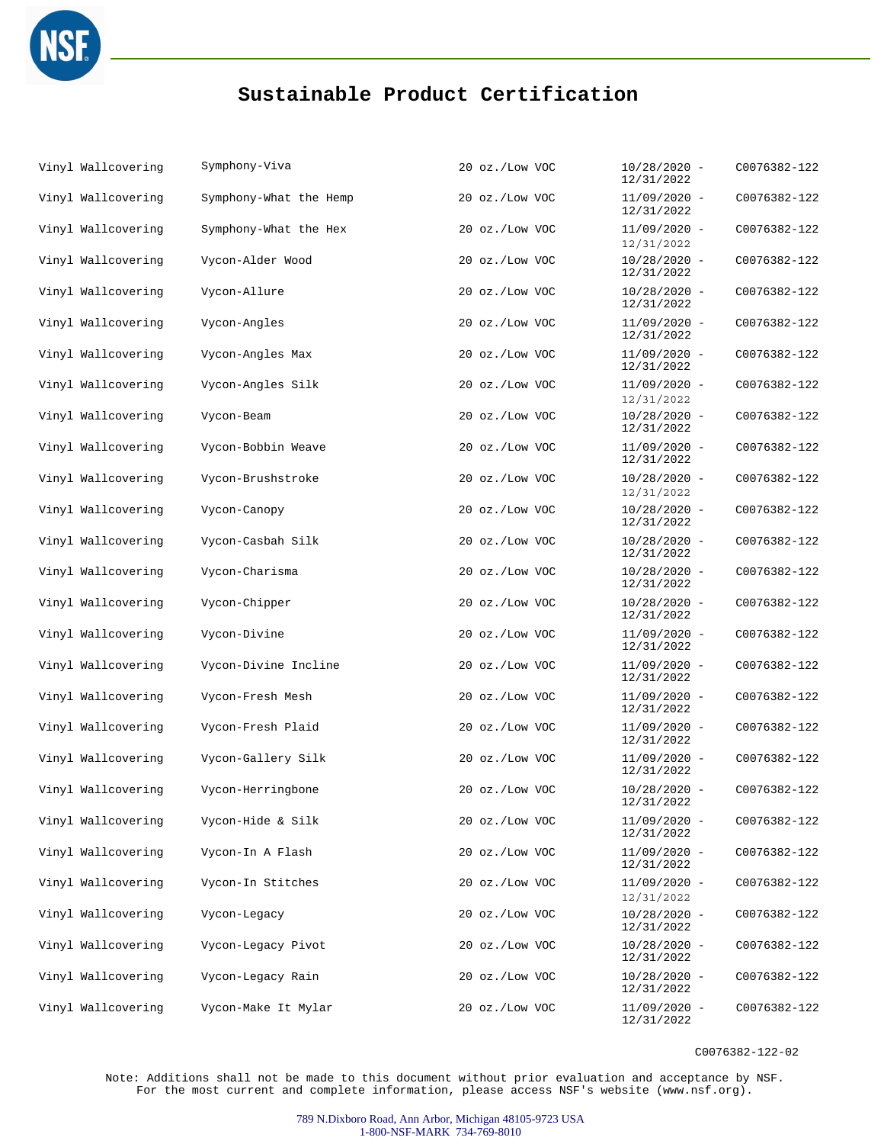

| Vinyl Wallcovering | Symphony-Viva          | 20 oz./Low VOC | $10/28/2020 -$<br>12/31/2022 | C0076382-122 |
|--------------------|------------------------|----------------|------------------------------|--------------|
| Vinyl Wallcovering | Symphony-What the Hemp | 20 oz./Low VOC | $11/09/2020 -$<br>12/31/2022 | C0076382-122 |
| Vinyl Wallcovering | Symphony-What the Hex  | 20 oz./Low VOC | $11/09/2020 -$<br>12/31/2022 | C0076382-122 |
| Vinyl Wallcovering | Vycon-Alder Wood       | 20 oz./Low VOC | $10/28/2020 -$<br>12/31/2022 | C0076382-122 |
| Vinyl Wallcovering | Vycon-Allure           | 20 oz./Low VOC | $10/28/2020 -$<br>12/31/2022 | C0076382-122 |
| Vinyl Wallcovering | Vycon-Angles           | 20 oz./Low VOC | $11/09/2020 -$<br>12/31/2022 | C0076382-122 |
| Vinyl Wallcovering | Vycon-Angles Max       | 20 oz./Low VOC | $11/09/2020 -$<br>12/31/2022 | C0076382-122 |
| Vinyl Wallcovering | Vycon-Angles Silk      | 20 oz./Low VOC | $11/09/2020 -$<br>12/31/2022 | C0076382-122 |
| Vinyl Wallcovering | Vycon-Beam             | 20 oz./Low VOC | $10/28/2020 -$<br>12/31/2022 | C0076382-122 |
| Vinyl Wallcovering | Vycon-Bobbin Weave     | 20 oz./Low VOC | $11/09/2020 -$<br>12/31/2022 | C0076382-122 |
| Vinyl Wallcovering | Vycon-Brushstroke      | 20 oz./Low VOC | $10/28/2020 -$<br>12/31/2022 | C0076382-122 |
| Vinyl Wallcovering | Vycon-Canopy           | 20 oz./Low VOC | $10/28/2020 -$<br>12/31/2022 | C0076382-122 |
| Vinyl Wallcovering | Vycon-Casbah Silk      | 20 oz./Low VOC | $10/28/2020 -$<br>12/31/2022 | C0076382-122 |
| Vinyl Wallcovering | Vycon-Charisma         | 20 oz./Low VOC | $10/28/2020 -$<br>12/31/2022 | C0076382-122 |
| Vinyl Wallcovering | Vycon-Chipper          | 20 oz./Low VOC | $10/28/2020 -$<br>12/31/2022 | C0076382-122 |
| Vinyl Wallcovering | Vycon-Divine           | 20 oz./Low VOC | $11/09/2020 -$<br>12/31/2022 | C0076382-122 |
| Vinyl Wallcovering | Vycon-Divine Incline   | 20 oz./Low VOC | $11/09/2020 -$<br>12/31/2022 | C0076382-122 |
| Vinyl Wallcovering | Vycon-Fresh Mesh       | 20 oz./Low VOC | $11/09/2020 -$<br>12/31/2022 | C0076382-122 |
| Vinyl Wallcovering | Vycon-Fresh Plaid      | 20 oz./Low VOC | $11/09/2020 -$<br>12/31/2022 | C0076382-122 |
| Vinyl Wallcovering | Vycon-Gallery Silk     | 20 oz./Low VOC | $11/09/2020 -$<br>12/31/2022 | C0076382-122 |
| Vinyl Wallcovering | Vycon-Herringbone      | 20 oz./Low VOC | $10/28/2020 -$<br>12/31/2022 | C0076382-122 |
| Vinyl Wallcovering | Vycon-Hide & Silk      | 20 oz./Low VOC | $11/09/2020 -$<br>12/31/2022 | C0076382-122 |
| Vinyl Wallcovering | Vycon-In A Flash       | 20 oz./Low VOC | $11/09/2020 -$<br>12/31/2022 | C0076382-122 |
| Vinyl Wallcovering | Vycon-In Stitches      | 20 oz./Low VOC | $11/09/2020 -$<br>12/31/2022 | C0076382-122 |
| Vinyl Wallcovering | Vycon-Legacy           | 20 oz./Low VOC | $10/28/2020 -$<br>12/31/2022 | C0076382-122 |
| Vinyl Wallcovering | Vycon-Legacy Pivot     | 20 oz./Low VOC | $10/28/2020 -$<br>12/31/2022 | C0076382-122 |
| Vinyl Wallcovering | Vycon-Legacy Rain      | 20 oz./Low VOC | $10/28/2020 -$<br>12/31/2022 | C0076382-122 |
| Vinyl Wallcovering | Vycon-Make It Mylar    | 20 oz./Low VOC | $11/09/2020 -$<br>12/31/2022 | C0076382-122 |

C0076382-122-02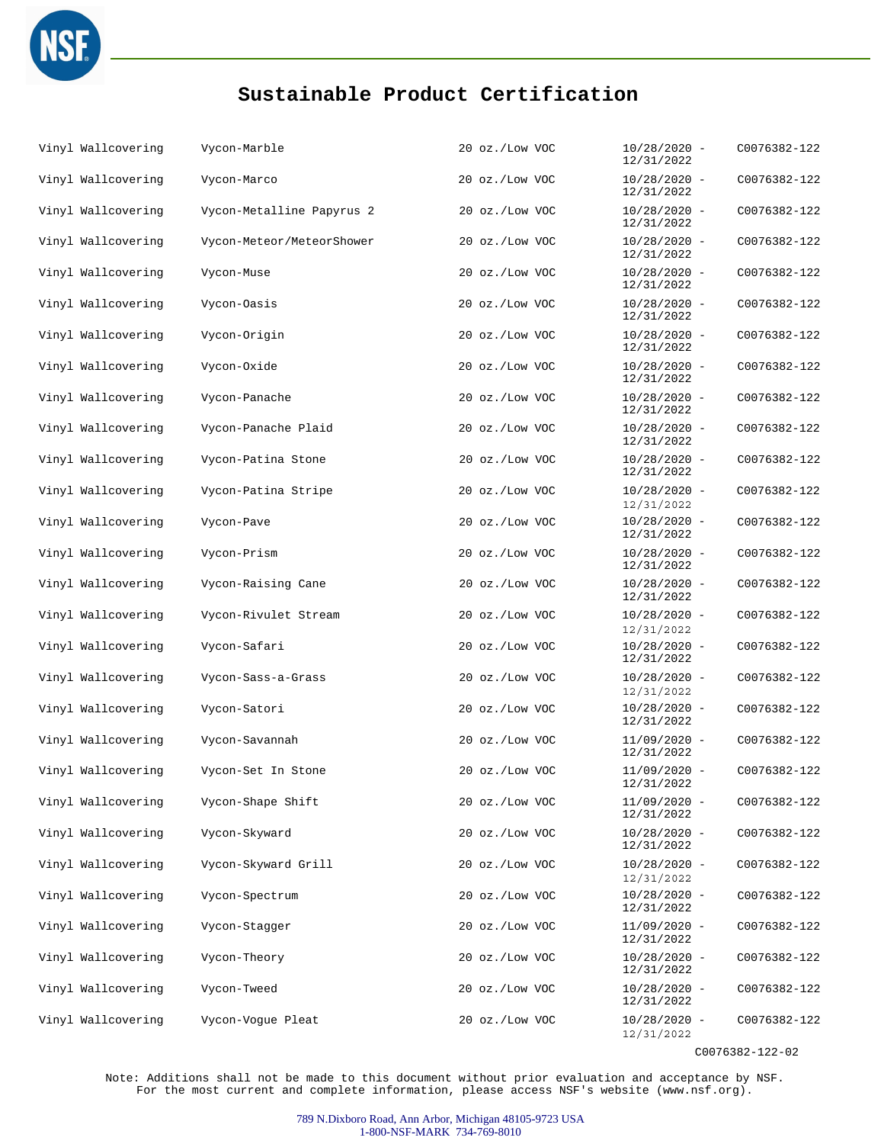

| Vinyl Wallcovering | Vycon-Marble              | 20 oz./Low VOC | $10/28/2020 -$<br>12/31/2022 | C0076382-122 |
|--------------------|---------------------------|----------------|------------------------------|--------------|
| Vinyl Wallcovering | Vycon-Marco               | 20 oz./Low VOC | $10/28/2020 -$<br>12/31/2022 | C0076382-122 |
| Vinyl Wallcovering | Vycon-Metalline Papyrus 2 | 20 oz./Low VOC | $10/28/2020 -$<br>12/31/2022 | C0076382-122 |
| Vinyl Wallcovering | Vycon-Meteor/MeteorShower | 20 oz./Low VOC | $10/28/2020 -$<br>12/31/2022 | C0076382-122 |
| Vinyl Wallcovering | Vycon-Muse                | 20 oz./Low VOC | $10/28/2020 -$<br>12/31/2022 | C0076382-122 |
| Vinyl Wallcovering | Vycon-Oasis               | 20 oz./Low VOC | $10/28/2020 -$<br>12/31/2022 | C0076382-122 |
| Vinyl Wallcovering | Vycon-Origin              | 20 oz./Low VOC | $10/28/2020 -$<br>12/31/2022 | C0076382-122 |
| Vinyl Wallcovering | Vycon-Oxide               | 20 oz./Low VOC | $10/28/2020 -$<br>12/31/2022 | C0076382-122 |
| Vinyl Wallcovering | Vycon-Panache             | 20 oz./Low VOC | $10/28/2020 -$<br>12/31/2022 | C0076382-122 |
| Vinyl Wallcovering | Vycon-Panache Plaid       | 20 oz./Low VOC | $10/28/2020 -$<br>12/31/2022 | C0076382-122 |
| Vinyl Wallcovering | Vycon-Patina Stone        | 20 oz./Low VOC | $10/28/2020 -$<br>12/31/2022 | C0076382-122 |
| Vinyl Wallcovering | Vycon-Patina Stripe       | 20 oz./Low VOC | $10/28/2020 -$<br>12/31/2022 | C0076382-122 |
| Vinyl Wallcovering | Vycon-Pave                | 20 oz./Low VOC | $10/28/2020 -$<br>12/31/2022 | C0076382-122 |
| Vinyl Wallcovering | Vycon-Prism               | 20 oz./Low VOC | $10/28/2020 -$<br>12/31/2022 | C0076382-122 |
| Vinyl Wallcovering | Vycon-Raising Cane        | 20 oz./Low VOC | $10/28/2020 -$<br>12/31/2022 | C0076382-122 |
| Vinyl Wallcovering | Vycon-Rivulet Stream      | 20 oz./Low VOC | $10/28/2020 -$<br>12/31/2022 | C0076382-122 |
| Vinyl Wallcovering | Vycon-Safari              | 20 oz./Low VOC | $10/28/2020 -$<br>12/31/2022 | C0076382-122 |
| Vinyl Wallcovering | Vycon-Sass-a-Grass        | 20 oz./Low VOC | $10/28/2020 -$<br>12/31/2022 | C0076382-122 |
| Vinyl Wallcovering | Vycon-Satori              | 20 oz./Low VOC | $10/28/2020 -$<br>12/31/2022 | C0076382-122 |
| Vinyl Wallcovering | Vycon-Savannah            | 20 oz./Low VOC | $11/09/2020 -$<br>12/31/2022 | C0076382-122 |
| Vinyl Wallcovering | Vycon-Set In Stone        | 20 oz./Low VOC | $11/09/2020 -$<br>12/31/2022 | C0076382-122 |
| Vinyl Wallcovering | Vycon-Shape Shift         | 20 oz./Low VOC | $11/09/2020 -$<br>12/31/2022 | C0076382-122 |
| Vinyl Wallcovering | Vycon-Skyward             | 20 oz./Low VOC | $10/28/2020 -$<br>12/31/2022 | C0076382-122 |
| Vinyl Wallcovering | Vycon-Skyward Grill       | 20 oz./Low VOC | $10/28/2020 -$<br>12/31/2022 | C0076382-122 |
| Vinyl Wallcovering | Vycon-Spectrum            | 20 oz./Low VOC | $10/28/2020 -$<br>12/31/2022 | C0076382-122 |
| Vinyl Wallcovering | Vycon-Stagger             | 20 oz./Low VOC | $11/09/2020 -$<br>12/31/2022 | C0076382-122 |
| Vinyl Wallcovering | Vycon-Theory              | 20 oz./Low VOC | $10/28/2020 -$<br>12/31/2022 | C0076382-122 |
| Vinyl Wallcovering | Vycon-Tweed               | 20 oz./Low VOC | $10/28/2020 -$<br>12/31/2022 | C0076382-122 |
| Vinyl Wallcovering | Vycon-Vogue Pleat         | 20 oz./Low VOC | $10/28/2020 -$<br>12/31/2022 | C0076382-122 |

C0076382-122-02